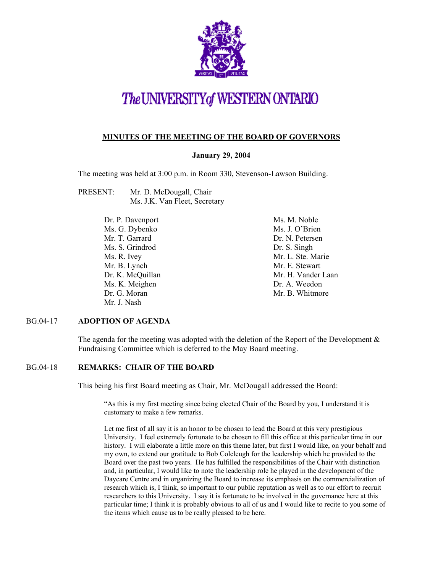

### The UNIVERSITY of WESTERN ONTARIO

#### **MINUTES OF THE MEETING OF THE BOARD OF GOVERNORS**

#### **January 29, 2004**

The meeting was held at 3:00 p.m. in Room 330, Stevenson-Lawson Building.

- PRESENT: Mr. D. McDougall, Chair Ms. J.K. Van Fleet, Secretary
	- Dr. P. Davenport Ms. G. Dybenko Mr. T. Garrard Ms. S. Grindrod Ms. R. Ivey Mr. B. Lynch Dr. K. McQuillan Ms. K. Meighen Dr. G. Moran Mr. J. Nash

Ms. M. Noble Ms. J. O'Brien Dr. N. Petersen Dr. S. Singh Mr. L. Ste. Marie Mr. E. Stewart Mr. H. Vander Laan Dr. A. Weedon Mr. B. Whitmore

#### BG.04-17 **ADOPTION OF AGENDA**

The agenda for the meeting was adopted with the deletion of the Report of the Development  $\&$ Fundraising Committee which is deferred to the May Board meeting.

#### BG.04-18 **REMARKS: CHAIR OF THE BOARD**

This being his first Board meeting as Chair, Mr. McDougall addressed the Board:

"As this is my first meeting since being elected Chair of the Board by you, I understand it is customary to make a few remarks.

Let me first of all say it is an honor to be chosen to lead the Board at this very prestigious University. I feel extremely fortunate to be chosen to fill this office at this particular time in our history. I will elaborate a little more on this theme later, but first I would like, on your behalf and my own, to extend our gratitude to Bob Colcleugh for the leadership which he provided to the Board over the past two years. He has fulfilled the responsibilities of the Chair with distinction and, in particular, I would like to note the leadership role he played in the development of the Daycare Centre and in organizing the Board to increase its emphasis on the commercialization of research which is, I think, so important to our public reputation as well as to our effort to recruit researchers to this University. I say it is fortunate to be involved in the governance here at this particular time; I think it is probably obvious to all of us and I would like to recite to you some of the items which cause us to be really pleased to be here.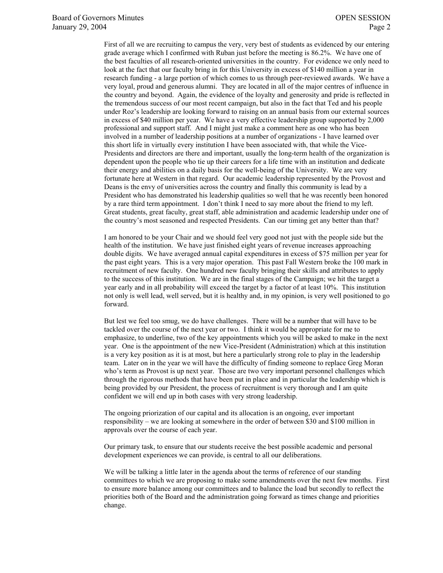First of all we are recruiting to campus the very, very best of students as evidenced by our entering grade average which I confirmed with Ruban just before the meeting is 86.2%. We have one of the best faculties of all research-oriented universities in the country. For evidence we only need to look at the fact that our faculty bring in for this University in excess of \$140 million a year in research funding - a large portion of which comes to us through peer-reviewed awards. We have a very loyal, proud and generous alumni. They are located in all of the major centres of influence in the country and beyond. Again, the evidence of the loyalty and generosity and pride is reflected in the tremendous success of our most recent campaign, but also in the fact that Ted and his people under Roz's leadership are looking forward to raising on an annual basis from our external sources in excess of \$40 million per year. We have a very effective leadership group supported by 2,000 professional and support staff. And I might just make a comment here as one who has been involved in a number of leadership positions at a number of organizations - I have learned over this short life in virtually every institution I have been associated with, that while the Vice-Presidents and directors are there and important, usually the long-term health of the organization is dependent upon the people who tie up their careers for a life time with an institution and dedicate their energy and abilities on a daily basis for the well-being of the University. We are very fortunate here at Western in that regard. Our academic leadership represented by the Provost and Deans is the envy of universities across the country and finally this community is lead by a President who has demonstrated his leadership qualities so well that he was recently been honored by a rare third term appointment. I don't think I need to say more about the friend to my left. Great students, great faculty, great staff, able administration and academic leadership under one of the country's most seasoned and respected Presidents. Can our timing get any better than that?

I am honored to be your Chair and we should feel very good not just with the people side but the health of the institution. We have just finished eight years of revenue increases approaching double digits. We have averaged annual capital expenditures in excess of \$75 million per year for the past eight years. This is a very major operation. This past Fall Western broke the 100 mark in recruitment of new faculty. One hundred new faculty bringing their skills and attributes to apply to the success of this institution. We are in the final stages of the Campaign; we hit the target a year early and in all probability will exceed the target by a factor of at least 10%. This institution not only is well lead, well served, but it is healthy and, in my opinion, is very well positioned to go forward.

But lest we feel too smug, we do have challenges. There will be a number that will have to be tackled over the course of the next year or two. I think it would be appropriate for me to emphasize, to underline, two of the key appointments which you will be asked to make in the next year. One is the appointment of the new Vice-President (Administration) which at this institution is a very key position as it is at most, but here a particularly strong role to play in the leadership team. Later on in the year we will have the difficulty of finding someone to replace Greg Moran who's term as Provost is up next year. Those are two very important personnel challenges which through the rigorous methods that have been put in place and in particular the leadership which is being provided by our President, the process of recruitment is very thorough and I am quite confident we will end up in both cases with very strong leadership.

The ongoing priorization of our capital and its allocation is an ongoing, ever important responsibility – we are looking at somewhere in the order of between \$30 and \$100 million in approvals over the course of each year.

Our primary task, to ensure that our students receive the best possible academic and personal development experiences we can provide, is central to all our deliberations.

We will be talking a little later in the agenda about the terms of reference of our standing committees to which we are proposing to make some amendments over the next few months. First to ensure more balance among our committees and to balance the load but secondly to reflect the priorities both of the Board and the administration going forward as times change and priorities change.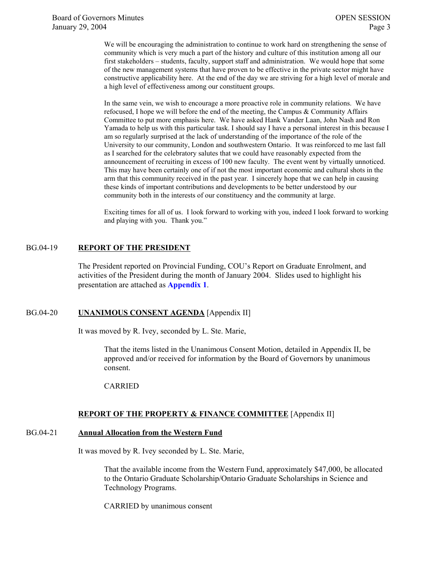We will be encouraging the administration to continue to work hard on strengthening the sense of community which is very much a part of the history and culture of this institution among all our first stakeholders – students, faculty, support staff and administration. We would hope that some of the new management systems that have proven to be effective in the private sector might have constructive applicability here. At the end of the day we are striving for a high level of morale and a high level of effectiveness among our constituent groups.

In the same vein, we wish to encourage a more proactive role in community relations. We have refocused, I hope we will before the end of the meeting, the Campus & Community Affairs Committee to put more emphasis here. We have asked Hank Vander Laan, John Nash and Ron Yamada to help us with this particular task. I should say I have a personal interest in this because I am so regularly surprised at the lack of understanding of the importance of the role of the University to our community, London and southwestern Ontario. It was reinforced to me last fall as I searched for the celebratory salutes that we could have reasonably expected from the announcement of recruiting in excess of 100 new faculty. The event went by virtually unnoticed. This may have been certainly one of if not the most important economic and cultural shots in the arm that this community received in the past year. I sincerely hope that we can help in causing these kinds of important contributions and developments to be better understood by our community both in the interests of our constituency and the community at large.

Exciting times for all of us. I look forward to working with you, indeed I look forward to working and playing with you. Thank you."

#### BG.04-19 **REPORT OF THE PRESIDENT**

The President reported on Provincial Funding, COU's Report on Graduate Enrolment, and activities of the President during the month of January 2004. Slides used to highlight his presentation are attached as **[Appendix 1](#page-8-0)**.

#### BG.04-20 **UNANIMOUS CONSENT AGENDA** [Appendix II]

It was moved by R. Ivey, seconded by L. Ste. Marie,

That the items listed in the Unanimous Consent Motion, detailed in Appendix II, be approved and/or received for information by the Board of Governors by unanimous consent.

#### CARRIED

#### **REPORT OF THE PROPERTY & FINANCE COMMITTEE** [Appendix II]

#### BG.04-21 **Annual Allocation from the Western Fund**

It was moved by R. Ivey seconded by L. Ste. Marie,

That the available income from the Western Fund, approximately \$47,000, be allocated to the Ontario Graduate Scholarship/Ontario Graduate Scholarships in Science and Technology Programs.

CARRIED by unanimous consent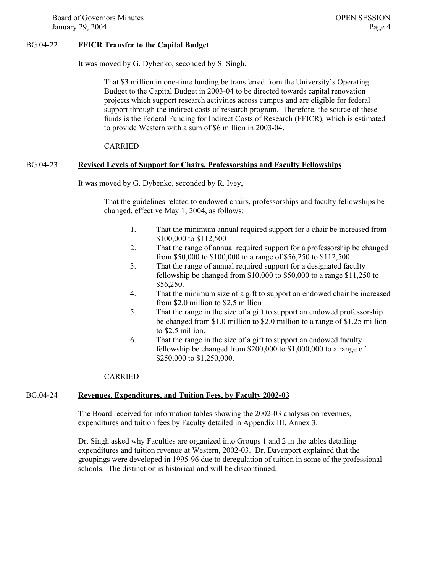Board of Governors Minutes **OPEN SESSION** January 29, 2004 Page 4

#### BG.04-22 **FFICR Transfer to the Capital Budget**

It was moved by G. Dybenko, seconded by S. Singh,

That \$3 million in one-time funding be transferred from the University's Operating Budget to the Capital Budget in 2003-04 to be directed towards capital renovation projects which support research activities across campus and are eligible for federal support through the indirect costs of research program. Therefore, the source of these funds is the Federal Funding for Indirect Costs of Research (FFICR), which is estimated to provide Western with a sum of \$6 million in 2003-04.

#### CARRIED

#### BG.04-23 **Revised Levels of Support for Chairs, Professorships and Faculty Fellowships**

It was moved by G. Dybenko, seconded by R. Ivey,

That the guidelines related to endowed chairs, professorships and faculty fellowships be changed, effective May 1, 2004, as follows:

- 1. That the minimum annual required support for a chair be increased from \$100,000 to \$112,500
- 2. That the range of annual required support for a professorship be changed from \$50,000 to \$100,000 to a range of \$56,250 to \$112,500
- 3. That the range of annual required support for a designated faculty fellowship be changed from \$10,000 to \$50,000 to a range \$11,250 to \$56,250.
- 4. That the minimum size of a gift to support an endowed chair be increased from \$2.0 million to \$2.5 million
- 5. That the range in the size of a gift to support an endowed professorship be changed from \$1.0 million to \$2.0 million to a range of \$1.25 million to \$2.5 million.
- 6. That the range in the size of a gift to support an endowed faculty fellowship be changed from \$200,000 to \$1,000,000 to a range of \$250,000 to \$1,250,000.

#### CARRIED

#### BG.04-24 **Revenues, Expenditures, and Tuition Fees, by Faculty 2002-03**

The Board received for information tables showing the 2002-03 analysis on revenues, expenditures and tuition fees by Faculty detailed in Appendix III, Annex 3.

Dr. Singh asked why Faculties are organized into Groups 1 and 2 in the tables detailing expenditures and tuition revenue at Western, 2002-03. Dr. Davenport explained that the groupings were developed in 1995-96 due to deregulation of tuition in some of the professional schools. The distinction is historical and will be discontinued.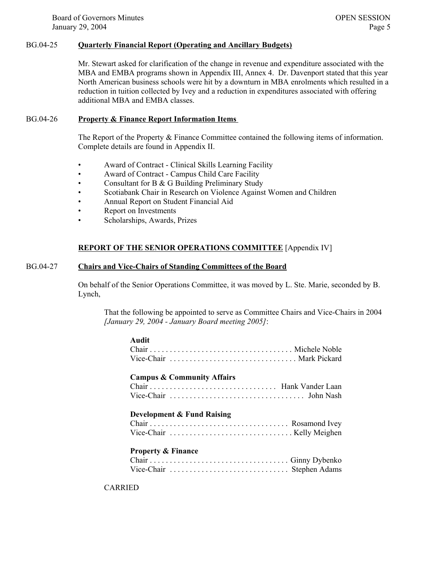Board of Governors Minutes **OPEN SESSION** January 29, 2004 Page 5

#### BG.04-25 **Quarterly Financial Report (Operating and Ancillary Budgets)**

Mr. Stewart asked for clarification of the change in revenue and expenditure associated with the MBA and EMBA programs shown in Appendix III, Annex 4. Dr. Davenport stated that this year North American business schools were hit by a downturn in MBA enrolments which resulted in a reduction in tuition collected by Ivey and a reduction in expenditures associated with offering additional MBA and EMBA classes.

#### BG.04-26 **Property & Finance Report Information Items**

The Report of the Property & Finance Committee contained the following items of information. Complete details are found in Appendix II.

- Award of Contract Clinical Skills Learning Facility
- Award of Contract Campus Child Care Facility
- Consultant for B & G Building Preliminary Study
- Scotiabank Chair in Research on Violence Against Women and Children
- Annual Report on Student Financial Aid
- Report on Investments
- Scholarships, Awards, Prizes

**Audit**

#### **REPORT OF THE SENIOR OPERATIONS COMMITTEE** [Appendix IV]

#### BG.04-27 **Chairs and Vice-Chairs of Standing Committees of the Board**

On behalf of the Senior Operations Committee, it was moved by L. Ste. Marie, seconded by B. Lynch,

That the following be appointed to serve as Committee Chairs and Vice-Chairs in 2004 *[January 29, 2004 - January Board meeting 2005]*:

| Audit                                                                                       |  |
|---------------------------------------------------------------------------------------------|--|
| Vice-Chair  Mark Pickard                                                                    |  |
| <b>Campus &amp; Community Affairs</b>                                                       |  |
|                                                                                             |  |
|                                                                                             |  |
| <b>Development &amp; Fund Raising</b>                                                       |  |
|                                                                                             |  |
| Vice-Chair $\ldots \ldots \ldots \ldots \ldots \ldots \ldots \ldots \ldots$ . Kelly Meighen |  |
| <b>Property &amp; Finance</b>                                                               |  |
|                                                                                             |  |
|                                                                                             |  |

#### CARRIED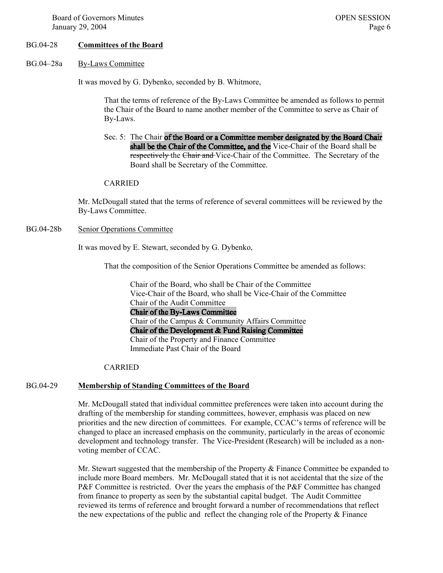#### BG.04-28 **Committees of the Board**

BG.04–28a By-Laws Committee

It was moved by G. Dybenko, seconded by B. Whitmore,

That the terms of reference of the By-Laws Committee be amended as follows to permit the Chair of the Board to name another member of the Committee to serve as Chair of By-Laws.

Sec. 5: The Chair of the Board or a Committee member designated by the Board Chair shall be the Chair of the Committee, and the Vice-Chair of the Board shall be respectively the Chair and Vice-Chair of the Committee. The Secretary of the Board shall be Secretary of the Committee.

#### CARRIED

Mr. McDougall stated that the terms of reference of several committees will be reviewed by the By-Laws Committee.

BG.04-28b Senior Operations Committee

It was moved by E. Stewart, seconded by G. Dybenko,

That the composition of the Senior Operations Committee be amended as follows:

Chair of the Board, who shall be Chair of the Committee Vice-Chair of the Board, who shall be Vice-Chair of the Committee Chair of the Audit Committee Chair of the By-Laws Committee Chair of the Campus & Community Affairs Committee Chair of the Development & Fund Raising Committee Chair of the Property and Finance Committee Immediate Past Chair of the Board

#### CARRIED

#### BG.04-29 **Membership of Standing Committees of the Board**

Mr. McDougall stated that individual committee preferences were taken into account during the drafting of the membership for standing committees, however, emphasis was placed on new priorities and the new direction of committees. For example, CCAC's terms of reference will be changed to place an increased emphasis on the community, particularly in the areas of economic development and technology transfer. The Vice-President (Research) will be included as a nonvoting member of CCAC.

Mr. Stewart suggested that the membership of the Property & Finance Committee be expanded to include more Board members. Mr. McDougall stated that it is not accidental that the size of the P&F Committee is restricted. Over the years the emphasis of the P&F Committee has changed from finance to property as seen by the substantial capital budget. The Audit Committee reviewed its terms of reference and brought forward a number of recommendations that reflect the new expectations of the public and reflect the changing role of the Property  $\&$  Finance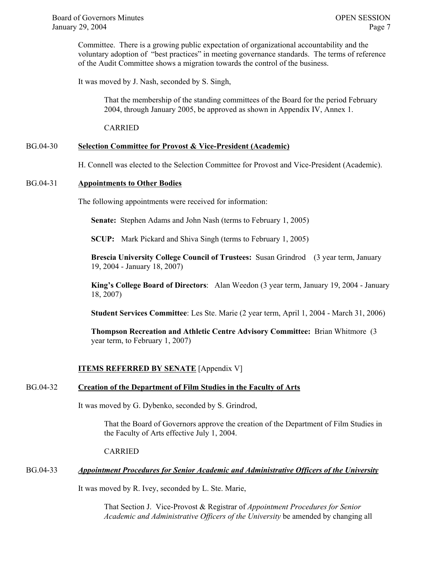Committee. There is a growing public expectation of organizational accountability and the voluntary adoption of "best practices" in meeting governance standards. The terms of reference of the Audit Committee shows a migration towards the control of the business.

It was moved by J. Nash, seconded by S. Singh,

That the membership of the standing committees of the Board for the period February 2004, through January 2005, be approved as shown in Appendix IV, Annex 1.

CARRIED

#### BG.04-30 **Selection Committee for Provost & Vice-President (Academic)**

H. Connell was elected to the Selection Committee for Provost and Vice-President (Academic).

#### BG.04-31 **Appointments to Other Bodies**

The following appointments were received for information:

**Senate:** Stephen Adams and John Nash (terms to February 1, 2005)

**SCUP:** Mark Pickard and Shiva Singh (terms to February 1, 2005)

**Brescia University College Council of Trustees:** Susan Grindrod (3 year term, January 19, 2004 - January 18, 2007)

**King's College Board of Directors**: Alan Weedon (3 year term, January 19, 2004 - January 18, 2007)

**Student Services Committee**: Les Ste. Marie (2 year term, April 1, 2004 - March 31, 2006)

**Thompson Recreation and Athletic Centre Advisory Committee:** Brian Whitmore (3 year term, to February 1, 2007)

#### **ITEMS REFERRED BY SENATE** [Appendix V]

#### BG.04-32 **Creation of the Department of Film Studies in the Faculty of Arts**

It was moved by G. Dybenko, seconded by S. Grindrod,

That the Board of Governors approve the creation of the Department of Film Studies in the Faculty of Arts effective July 1, 2004.

CARRIED

#### BG.04-33 *Appointment Procedures for Senior Academic and Administrative Officers of the University*

It was moved by R. Ivey, seconded by L. Ste. Marie,

That Section J. Vice-Provost & Registrar of *Appointment Procedures for Senior Academic and Administrative Officers of the University* be amended by changing all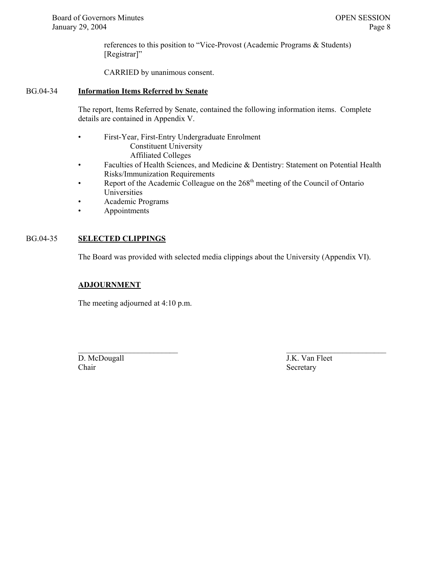references to this position to "Vice-Provost (Academic Programs & Students) [Registrar]"

CARRIED by unanimous consent.

#### BG.04-34 **Information Items Referred by Senate**

The report, Items Referred by Senate, contained the following information items. Complete details are contained in Appendix V.

- First-Year, First-Entry Undergraduate Enrolment Constituent University Affiliated Colleges
- Faculties of Health Sciences, and Medicine & Dentistry: Statement on Potential Health Risks/Immunization Requirements
- Report of the Academic Colleague on the  $268<sup>th</sup>$  meeting of the Council of Ontario Universities
- Academic Programs
- Appointments

#### BG.04-35 **SELECTED CLIPPINGS**

The Board was provided with selected media clippings about the University (Appendix VI).

 $\mathcal{L}_\text{max}$  , and the contract of the contract of the contract of the contract of the contract of the contract of the contract of the contract of the contract of the contract of the contract of the contract of the contr

#### **ADJOURNMENT**

The meeting adjourned at 4:10 p.m.

D. McDougall J.K. Van Fleet Chair Secretary Secretary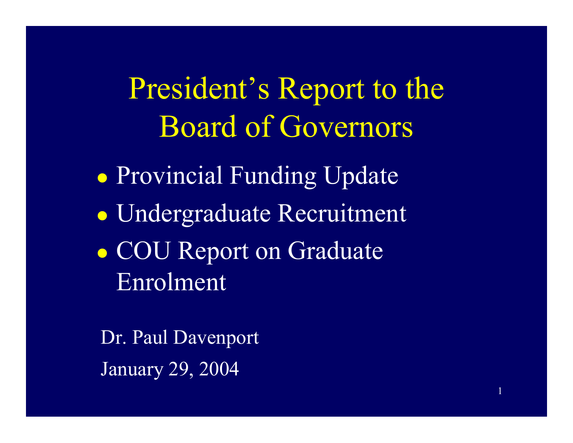<span id="page-8-0"></span>President's Report to the Board of Governors

1

 $\bullet$  Provincial Funding Update  $\bullet$  Undergraduate Recruitment  $\bullet$ • COU Report on Graduate Enrolment

Dr. Paul Davenport January 29, 2004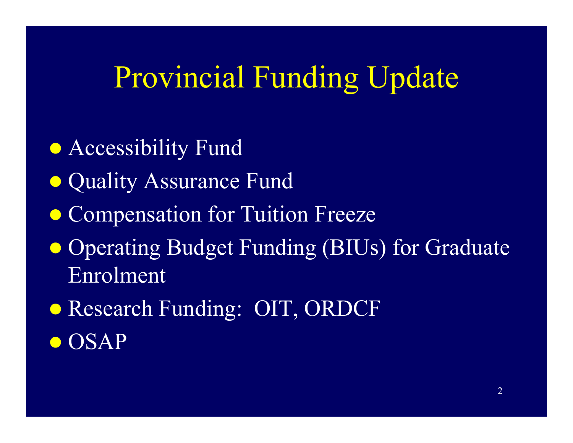## Provincial Funding Update

- **Accessibility Fund**
- Quality Assurance Fund
- **Compensation for Tuition Freeze**
- Operating Budget Funding (BIUs) for Graduate Enrolment
- Research Funding: OIT, ORDCF
- $\bullet$  OSAP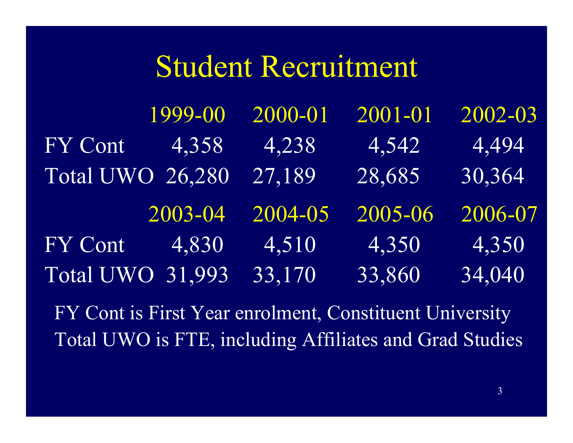### Student Recruitment

1999-00 2000-01 2001-01 2002-03 FY Cont 4,358 4,238 4,542 4,494 Total UWO 26,280 27,189 28,685 30,364 2003-04 2004-05 2005-06 2006-07 FY Cont 4,830 4,510 4,350 4,350 Total UWO 31,993 33,170 33,860 34,040

FY Cont is First Year enrolment, Constituent University Total UWO is FTE, including Affiliates and Grad Studies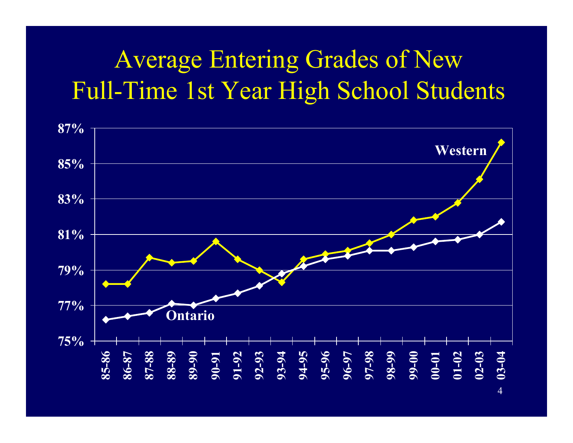### Average Entering Grades of New Full-Time 1st Year High School Students

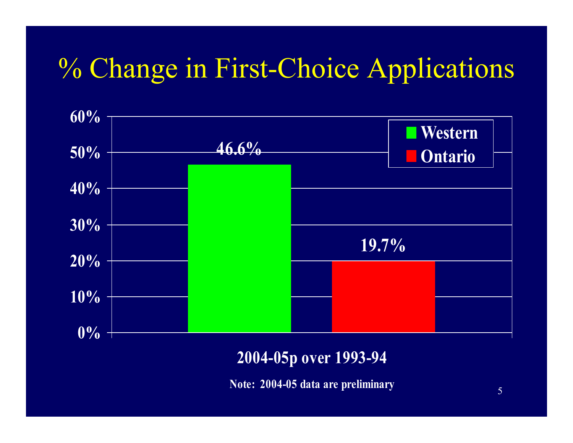### % Change in First-Choice Applications



### **2004-05p ove r 1993-94**

**N o t e: 2004-05 d a t a are p reliminar y**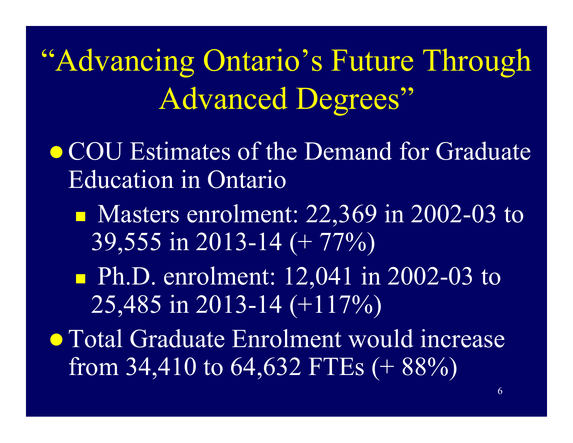"Advancing Ontario's Future Through Advanced Degrees"

- COU Estimates of the Demand for Graduate Education in Ontario
	- Masters enrolment: 22,369 in 2002-03 to 39,555 in 2013-14 (+ 77%)
	- **Ph.D. enrolment:** 12,041 in 2002-03 to 25,485 in 2013-14 (+117%)
- Total Graduate Enrolment would increase from 34,410 to 64,632 FTEs  $(+ 88\%)$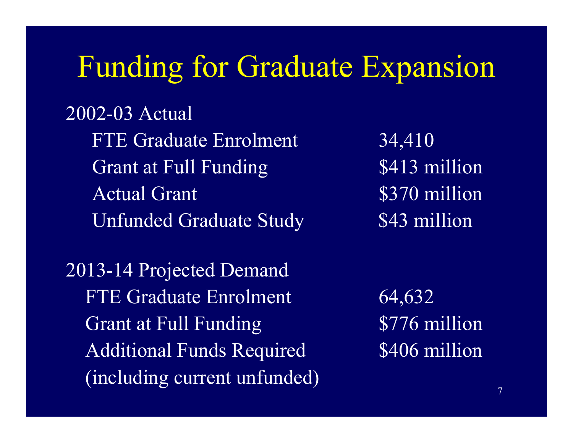### Funding for Graduate Expansion

2002-03 Actual FTE Graduate Enrolment Grant at Full Funding \$413 million Actual Grant Unfunded Graduate Study 543 million

2013-14 Projected Demand FTE Graduate Enrolment Grant at Full Funding 5776 million Additional Funds Required (including current unfunded)

34,410 \$370 million

64,632 \$406 million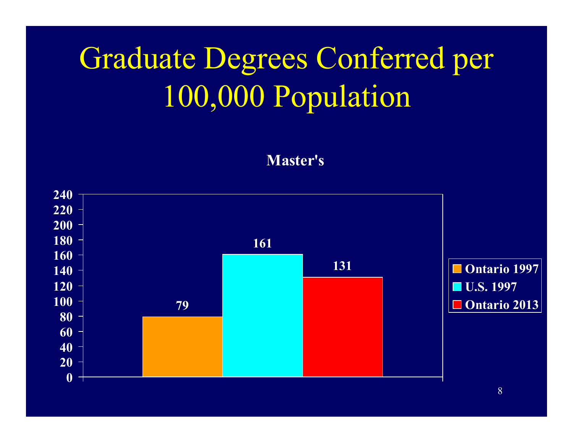# Graduate Degrees Conferred per 100,000 Population

**Ma s t e r's**